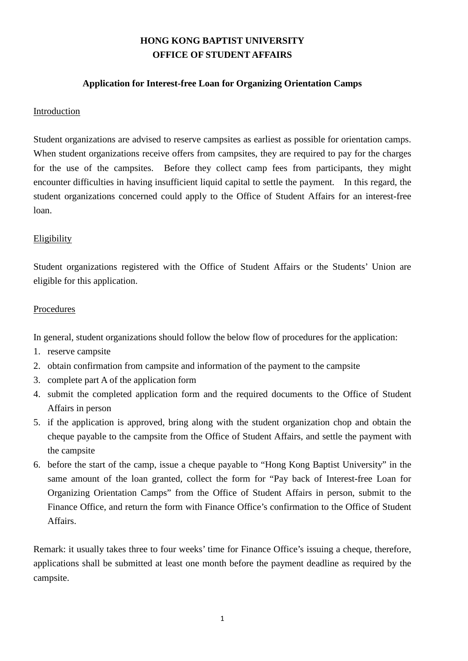## **HONG KONG BAPTIST UNIVERSITY OFFICE OF STUDENT AFFAIRS**

### **Application for Interest-free Loan for Organizing Orientation Camps**

#### Introduction

Student organizations are advised to reserve campsites as earliest as possible for orientation camps. When student organizations receive offers from campsites, they are required to pay for the charges for the use of the campsites. Before they collect camp fees from participants, they might encounter difficulties in having insufficient liquid capital to settle the payment. In this regard, the student organizations concerned could apply to the Office of Student Affairs for an interest-free loan.

#### **Eligibility**

Student organizations registered with the Office of Student Affairs or the Students' Union are eligible for this application.

#### Procedures

In general, student organizations should follow the below flow of procedures for the application:

- 1. reserve campsite
- 2. obtain confirmation from campsite and information of the payment to the campsite
- 3. complete part A of the application form
- 4. submit the completed application form and the required documents to the Office of Student Affairs in person
- 5. if the application is approved, bring along with the student organization chop and obtain the cheque payable to the campsite from the Office of Student Affairs, and settle the payment with the campsite
- 6. before the start of the camp, issue a cheque payable to "Hong Kong Baptist University" in the same amount of the loan granted, collect the form for "Pay back of Interest-free Loan for Organizing Orientation Camps" from the Office of Student Affairs in person, submit to the Finance Office, and return the form with Finance Office's confirmation to the Office of Student Affairs.

Remark: it usually takes three to four weeks' time for Finance Office's issuing a cheque, therefore, applications shall be submitted at least one month before the payment deadline as required by the campsite.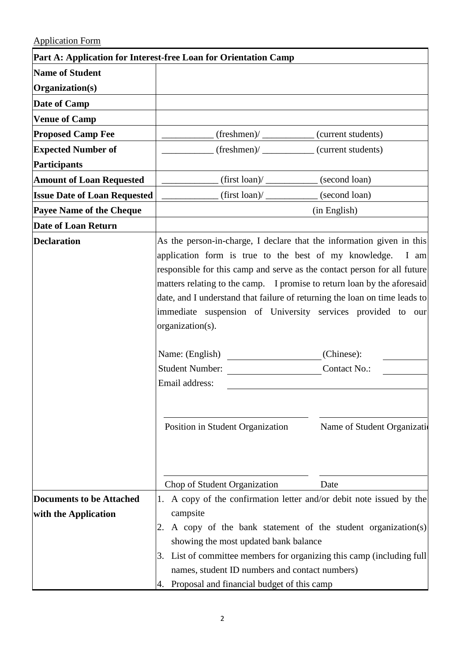# Application Form

|                                                         | Part A: Application for Interest-free Loan for Orientation Camp                                                                                                                                                                                                                                                                                                                                                                                                                                                                                    |                                                                    |
|---------------------------------------------------------|----------------------------------------------------------------------------------------------------------------------------------------------------------------------------------------------------------------------------------------------------------------------------------------------------------------------------------------------------------------------------------------------------------------------------------------------------------------------------------------------------------------------------------------------------|--------------------------------------------------------------------|
| <b>Name of Student</b>                                  |                                                                                                                                                                                                                                                                                                                                                                                                                                                                                                                                                    |                                                                    |
| Organization(s)                                         |                                                                                                                                                                                                                                                                                                                                                                                                                                                                                                                                                    |                                                                    |
| Date of Camp                                            |                                                                                                                                                                                                                                                                                                                                                                                                                                                                                                                                                    |                                                                    |
| <b>Venue of Camp</b>                                    |                                                                                                                                                                                                                                                                                                                                                                                                                                                                                                                                                    |                                                                    |
| <b>Proposed Camp Fee</b>                                | (freshmen)/___________(current students)                                                                                                                                                                                                                                                                                                                                                                                                                                                                                                           |                                                                    |
| <b>Expected Number of</b>                               | (freshmen)/___________(current students)                                                                                                                                                                                                                                                                                                                                                                                                                                                                                                           |                                                                    |
| Participants                                            |                                                                                                                                                                                                                                                                                                                                                                                                                                                                                                                                                    |                                                                    |
| <b>Amount of Loan Requested</b>                         | $\frac{1}{\sqrt{1-\frac{1}{1-\frac{1}{1-\frac{1}{1-\frac{1}{1-\frac{1}{1-\frac{1}{1-\frac{1}{1-\frac{1}{1-\frac{1}{1-\frac{1}{1-\frac{1}{1-\frac{1}{1-\frac{1}{1-\frac{1}{1-\frac{1}{1-\frac{1}{1-\frac{1}{1-\frac{1}{1-\frac{1}{1-\frac{1}{1-\frac{1}{1-\frac{1}{1-\frac{1}{1-\frac{1}{1-\frac{1}{1-\frac{1}{1-\frac{1}{1-\frac{1}{1-\frac{1}{1-\frac{1}{1-\frac{1}{1-\frac{1}{1-\frac{1}{1-\frac{1}{1-\frac{1}{1-\$                                                                                                                              |                                                                    |
| <b>Issue Date of Loan Requested</b>                     | $(first loan) /$ (second loan)                                                                                                                                                                                                                                                                                                                                                                                                                                                                                                                     |                                                                    |
| <b>Payee Name of the Cheque</b>                         |                                                                                                                                                                                                                                                                                                                                                                                                                                                                                                                                                    | (in English)                                                       |
| Date of Loan Return                                     |                                                                                                                                                                                                                                                                                                                                                                                                                                                                                                                                                    |                                                                    |
| <b>Declaration</b>                                      | As the person-in-charge, I declare that the information given in this<br>application form is true to the best of my knowledge.<br>responsible for this camp and serve as the contact person for all future<br>matters relating to the camp. I promise to return loan by the aforesaid<br>date, and I understand that failure of returning the loan on time leads to<br>immediate suspension of University services provided to our<br>organization(s).<br>Name: (English)<br>Student Number:<br>Email address:<br>Position in Student Organization | I am<br>(Chinese):<br>Contact No.:<br>Name of Student Organization |
| <b>Documents to be Attached</b><br>with the Application | Chop of Student Organization<br>A copy of the confirmation letter and/or debit note issued by the<br>1.<br>campsite<br>A copy of the bank statement of the student organization(s)<br>showing the most updated bank balance<br>List of committee members for organizing this camp (including full<br>3.<br>names, student ID numbers and contact numbers)                                                                                                                                                                                          | Date                                                               |
|                                                         | Proposal and financial budget of this camp<br>4.                                                                                                                                                                                                                                                                                                                                                                                                                                                                                                   |                                                                    |